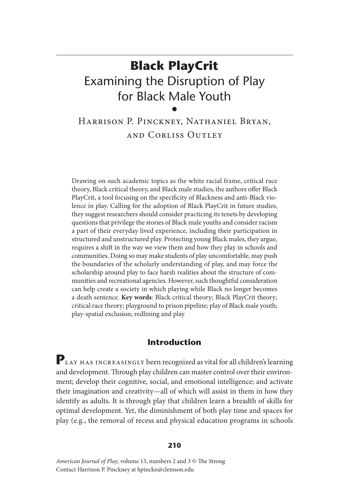# **Black PlayCrit** Examining the Disruption of Play for Black Male Youth •

## Harrison P. Pinckney, Nathaniel Bryan, and Corliss Outley

Drawing on such academic topics as the white racial frame, critical race theory, Black critical theory, and Black male studies, the authors offer Black PlayCrit, a tool focusing on the specificity of Blackness and anti-Black violence in play. Calling for the adoption of Black PlayCrit in future studies, they suggest researchers should consider practicing its tenets by developing questions that privilege the stories of Black male youths and consider racism a part of their everyday lived experience, including their participation in structured and unstructured play. Protecting young Black males, they argue, requires a shift in the way we view them and how they play in schools and communities. Doing so may make students of play uncomfortable, may push the boundaries of the scholarly understanding of play, and may force the scholarship around play to face harsh realities about the structure of communities and recreational agencies. However, such thoughtful consideration can help create a society in which playing while Black no longer becomes a death sentence. **Key words**: Black critical theory; Black PlayCrit theory; critical race theory; playground to prison pipeline; play of Black male youth; play-spatial exclusion; redlining and play

## **Introduction**

PLAY HAS INCREASINGLY been recognized as vital for all children's learning and development. Through play children can master control over their environment; develop their cognitive, social, and emotional intelligence; and activate their imagination and creativity—all of which will assist in them in how they identify as adults. It is through play that children learn a breadth of skills for optimal development. Yet, the diminishment of both play time and spaces for play (e.g., the removal of recess and physical education programs in schools

#### **210**

*American Journal of Play*, volume 13, numbers 2 and 3 © The Strong Contact Harrison P. Pinckney at hpinckn@clemson.edu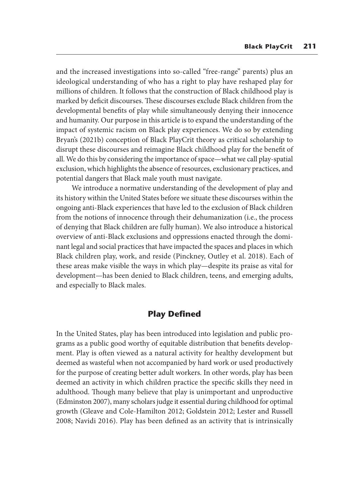and the increased investigations into so-called "free-range" parents) plus an ideological understanding of who has a right to play have reshaped play for millions of children. It follows that the construction of Black childhood play is marked by deficit discourses. These discourses exclude Black children from the developmental benefits of play while simultaneously denying their innocence and humanity. Our purpose in this article is to expand the understanding of the impact of systemic racism on Black play experiences. We do so by extending Bryan's (2021b) conception of Black PlayCrit theory as critical scholarship to disrupt these discourses and reimagine Black childhood play for the benefit of all. We do this by considering the importance of space—what we call play-spatial exclusion, which highlights the absence of resources, exclusionary practices, and potential dangers that Black male youth must navigate.

We introduce a normative understanding of the development of play and its history within the United States before we situate these discourses within the ongoing anti-Black experiences that have led to the exclusion of Black children from the notions of innocence through their dehumanization (i.e., the process of denying that Black children are fully human). We also introduce a historical overview of anti-Black exclusions and oppressions enacted through the dominant legal and social practices that have impacted the spaces and places in which Black children play, work, and reside (Pinckney, Outley et al. 2018). Each of these areas make visible the ways in which play—despite its praise as vital for development—has been denied to Black children, teens, and emerging adults, and especially to Black males.

## **Play Defined**

In the United States, play has been introduced into legislation and public programs as a public good worthy of equitable distribution that benefits development. Play is often viewed as a natural activity for healthy development but deemed as wasteful when not accompanied by hard work or used productively for the purpose of creating better adult workers. In other words, play has been deemed an activity in which children practice the specific skills they need in adulthood. Though many believe that play is unimportant and unproductive (Edminston 2007), many scholars judge it essential during childhood for optimal growth (Gleave and Cole-Hamilton 2012; Goldstein 2012; Lester and Russell 2008; Navidi 2016). Play has been defined as an activity that is intrinsically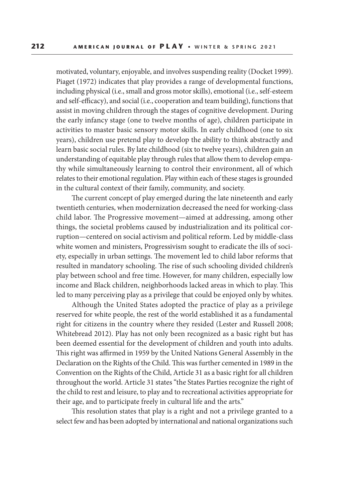motivated, voluntary, enjoyable, and involves suspending reality (Docket 1999). Piaget (1972) indicates that play provides a range of developmental functions, including physical (i.e., small and gross motor skills), emotional (i.e., self-esteem and self-efficacy), and social (i.e., cooperation and team building), functions that assist in moving children through the stages of cognitive development. During the early infancy stage (one to twelve months of age), children participate in activities to master basic sensory motor skills. In early childhood (one to six years), children use pretend play to develop the ability to think abstractly and learn basic social rules. By late childhood (six to twelve years), children gain an understanding of equitable play through rules that allow them to develop empathy while simultaneously learning to control their environment, all of which relates to their emotional regulation. Play within each of these stages is grounded in the cultural context of their family, community, and society.

The current concept of play emerged during the late nineteenth and early twentieth centuries, when modernization decreased the need for working-class child labor. The Progressive movement—aimed at addressing, among other things, the societal problems caused by industrialization and its political corruption—centered on social activism and political reform. Led by middle-class white women and ministers, Progressivism sought to eradicate the ills of society, especially in urban settings. The movement led to child labor reforms that resulted in mandatory schooling. The rise of such schooling divided children's play between school and free time. However, for many children, especially low income and Black children, neighborhoods lacked areas in which to play. This led to many perceiving play as a privilege that could be enjoyed only by whites.

Although the United States adopted the practice of play as a privilege reserved for white people, the rest of the world established it as a fundamental right for citizens in the country where they resided (Lester and Russell 2008; Whitebread 2012). Play has not only been recognized as a basic right but has been deemed essential for the development of children and youth into adults. This right was affirmed in 1959 by the United Nations General Assembly in the Declaration on the Rights of the Child. This was further cemented in 1989 in the Convention on the Rights of the Child, Article 31 as a basic right for all children throughout the world. Article 31 states "the States Parties recognize the right of the child to rest and leisure, to play and to recreational activities appropriate for their age, and to participate freely in cultural life and the arts."

This resolution states that play is a right and not a privilege granted to a select few and has been adopted by international and national organizations such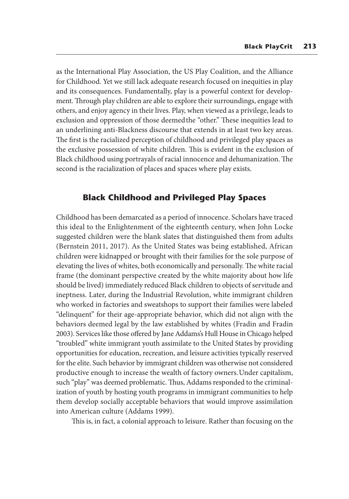as the International Play Association, the US Play Coalition, and the Alliance for Childhood. Yet we still lack adequate research focused on inequities in play and its consequences. Fundamentally, play is a powerful context for development. Through play children are able to explore their surroundings, engage with others, and enjoy agency in their lives. Play, when viewed as a privilege, leads to exclusion and oppression of those deemed the "other." These inequities lead to an underlining anti-Blackness discourse that extends in at least two key areas. The first is the racialized perception of childhood and privileged play spaces as the exclusive possession of white children. This is evident in the exclusion of Black childhood using portrayals of racial innocence and dehumanization. The second is the racialization of places and spaces where play exists.

## **Black Childhood and Privileged Play Spaces**

Childhood has been demarcated as a period of innocence. Scholars have traced this ideal to the Enlightenment of the eighteenth century, when John Locke suggested children were the blank slates that distinguished them from adults (Bernstein 2011, 2017). As the United States was being established, African children were kidnapped or brought with their families for the sole purpose of elevating the lives of whites, both economically and personally. The white racial frame (the dominant perspective created by the white majority about how life should be lived) immediately reduced Black children to objects of servitude and ineptness. Later, during the Industrial Revolution, white immigrant children who worked in factories and sweatshops to support their families were labeled "delinquent" for their age-appropriate behavior, which did not align with the behaviors deemed legal by the law established by whites (Fradin and Fradin 2003). Services like those offered by Jane Addams's Hull House in Chicago helped "troubled" white immigrant youth assimilate to the United States by providing opportunities for education, recreation, and leisure activities typically reserved for the elite. Such behavior by immigrant children was otherwise not considered productive enough to increase the wealth of factory owners. Under capitalism, such "play" was deemed problematic. Thus, Addams responded to the criminalization of youth by hosting youth programs in immigrant communities to help them develop socially acceptable behaviors that would improve assimilation into American culture (Addams 1999).

This is, in fact, a colonial approach to leisure. Rather than focusing on the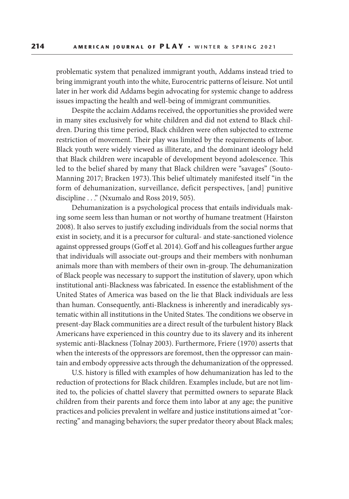problematic system that penalized immigrant youth, Addams instead tried to bring immigrant youth into the white, Eurocentric patterns of leisure. Not until later in her work did Addams begin advocating for systemic change to address issues impacting the health and well-being of immigrant communities.

Despite the acclaim Addams received, the opportunities she provided were in many sites exclusively for white children and did not extend to Black children. During this time period, Black children were often subjected to extreme restriction of movement. Their play was limited by the requirements of labor. Black youth were widely viewed as illiterate, and the dominant ideology held that Black children were incapable of development beyond adolescence. This led to the belief shared by many that Black children were "savages" (Souto-Manning 2017; Bracken 1973). This belief ultimately manifested itself "in the form of dehumanization, surveillance, deficit perspectives, [and] punitive discipline . . ." (Nxumalo and Ross 2019, 505).

Dehumanization is a psychological process that entails individuals making some seem less than human or not worthy of humane treatment (Hairston 2008). It also serves to justify excluding individuals from the social norms that exist in society, and it is a precursor for cultural- and state-sanctioned violence against oppressed groups (Goff et al. 2014). Goff and his colleagues further argue that individuals will associate out-groups and their members with nonhuman animals more than with members of their own in-group. The dehumanization of Black people was necessary to support the institution of slavery, upon which institutional anti-Blackness was fabricated. In essence the establishment of the United States of America was based on the lie that Black individuals are less than human. Consequently, anti-Blackness is inherently and ineradicably systematic within all institutions in the United States. The conditions we observe in present-day Black communities are a direct result of the turbulent history Black Americans have experienced in this country due to its slavery and its inherent systemic anti-Blackness (Tolnay 2003). Furthermore, Friere (1970) asserts that when the interests of the oppressors are foremost, then the oppressor can maintain and embody oppressive acts through the dehumanization of the oppressed.

U.S. history is filled with examples of how dehumanization has led to the reduction of protections for Black children. Examples include, but are not limited to, the policies of chattel slavery that permitted owners to separate Black children from their parents and force them into labor at any age; the punitive practices and policies prevalent in welfare and justice institutions aimed at "correcting" and managing behaviors; the super predator theory about Black males;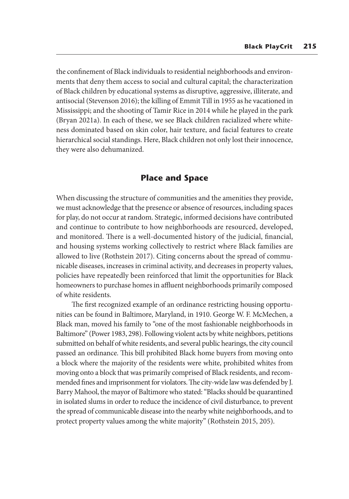the confinement of Black individuals to residential neighborhoods and environments that deny them access to social and cultural capital; the characterization of Black children by educational systems as disruptive, aggressive, illiterate, and antisocial (Stevenson 2016); the killing of Emmit Till in 1955 as he vacationed in Mississippi; and the shooting of Tamir Rice in 2014 while he played in the park (Bryan 2021a). In each of these, we see Black children racialized where whiteness dominated based on skin color, hair texture, and facial features to create hierarchical social standings. Here, Black children not only lost their innocence, they were also dehumanized.

## **Place and Space**

When discussing the structure of communities and the amenities they provide, we must acknowledge that the presence or absence of resources, including spaces for play, do not occur at random. Strategic, informed decisions have contributed and continue to contribute to how neighborhoods are resourced, developed, and monitored. There is a well-documented history of the judicial, financial, and housing systems working collectively to restrict where Black families are allowed to live (Rothstein 2017). Citing concerns about the spread of communicable diseases, increases in criminal activity, and decreases in property values, policies have repeatedly been reinforced that limit the opportunities for Black homeowners to purchase homes in affluent neighborhoods primarily composed of white residents.

The first recognized example of an ordinance restricting housing opportunities can be found in Baltimore, Maryland, in 1910. George W. F. McMechen, a Black man, moved his family to "one of the most fashionable neighborhoods in Baltimore" (Power 1983, 298). Following violent acts by white neighbors, petitions submitted on behalf of white residents, and several public hearings, the city council passed an ordinance. This bill prohibited Black home buyers from moving onto a block where the majority of the residents were white, prohibited whites from moving onto a block that was primarily comprised of Black residents, and recommended fines and imprisonment for violators. The city-wide law was defended by J. Barry Mahool, the mayor of Baltimore who stated: "Blacks should be quarantined in isolated slums in order to reduce the incidence of civil disturbance, to prevent the spread of communicable disease into the nearby white neighborhoods, and to protect property values among the white majority" (Rothstein 2015, 205).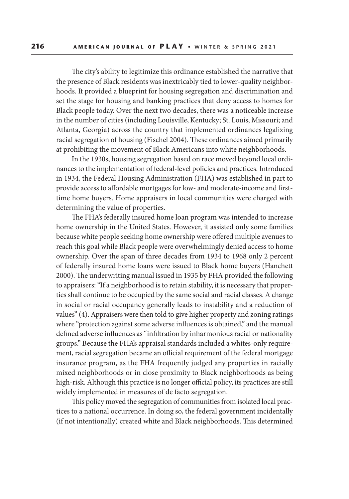The city's ability to legitimize this ordinance established the narrative that the presence of Black residents was inextricably tied to lower-quality neighborhoods. It provided a blueprint for housing segregation and discrimination and set the stage for housing and banking practices that deny access to homes for Black people today. Over the next two decades, there was a noticeable increase in the number of cities (including Louisville, Kentucky; St. Louis, Missouri; and Atlanta, Georgia) across the country that implemented ordinances legalizing racial segregation of housing (Fischel 2004). These ordinances aimed primarily at prohibiting the movement of Black Americans into white neighborhoods.

In the 1930s, housing segregation based on race moved beyond local ordinances to the implementation of federal-level policies and practices. Introduced in 1934, the Federal Housing Administration (FHA) was established in part to provide access to affordable mortgages for low- and moderate-income and firsttime home buyers. Home appraisers in local communities were charged with determining the value of properties.

The FHA's federally insured home loan program was intended to increase home ownership in the United States. However, it assisted only some families because white people seeking home ownership were offered multiple avenues to reach this goal while Black people were overwhelmingly denied access to home ownership. Over the span of three decades from 1934 to 1968 only 2 percent of federally insured home loans were issued to Black home buyers (Hanchett 2000). The underwriting manual issued in 1935 by FHA provided the following to appraisers: "If a neighborhood is to retain stability, it is necessary that properties shall continue to be occupied by the same social and racial classes. A change in social or racial occupancy generally leads to instability and a reduction of values" (4). Appraisers were then told to give higher property and zoning ratings where "protection against some adverse influences is obtained," and the manual defined adverse influences as "infiltration by inharmonious racial or nationality groups." Because the FHA's appraisal standards included a whites-only requirement, racial segregation became an official requirement of the federal mortgage insurance program, as the FHA frequently judged any properties in racially mixed neighborhoods or in close proximity to Black neighborhoods as being high-risk. Although this practice is no longer official policy, its practices are still widely implemented in measures of de facto segregation.

This policy moved the segregation of communities from isolated local practices to a national occurrence. In doing so, the federal government incidentally (if not intentionally) created white and Black neighborhoods. This determined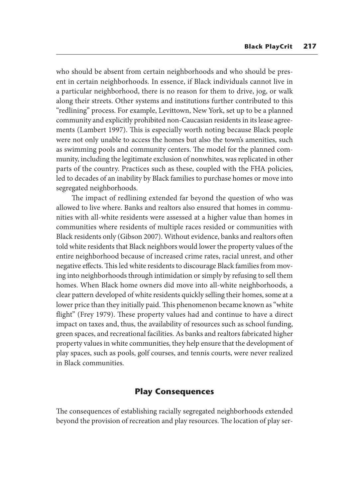who should be absent from certain neighborhoods and who should be present in certain neighborhoods. In essence, if Black individuals cannot live in a particular neighborhood, there is no reason for them to drive, jog, or walk along their streets. Other systems and institutions further contributed to this "redlining" process. For example, Levittown, New York, set up to be a planned community and explicitly prohibited non-Caucasian residents in its lease agreements (Lambert 1997). This is especially worth noting because Black people were not only unable to access the homes but also the town's amenities, such as swimming pools and community centers. The model for the planned community, including the legitimate exclusion of nonwhites, was replicated in other parts of the country. Practices such as these, coupled with the FHA policies, led to decades of an inability by Black families to purchase homes or move into segregated neighborhoods.

The impact of redlining extended far beyond the question of who was allowed to live where. Banks and realtors also ensured that homes in communities with all-white residents were assessed at a higher value than homes in communities where residents of multiple races resided or communities with Black residents only (Gibson 2007). Without evidence, banks and realtors often told white residents that Black neighbors would lower the property values of the entire neighborhood because of increased crime rates, racial unrest, and other negative effects. This led white residents to discourage Black families from moving into neighborhoods through intimidation or simply by refusing to sell them homes. When Black home owners did move into all-white neighborhoods, a clear pattern developed of white residents quickly selling their homes, some at a lower price than they initially paid. This phenomenon became known as "white flight" (Frey 1979). These property values had and continue to have a direct impact on taxes and, thus, the availability of resources such as school funding, green spaces, and recreational facilities. As banks and realtors fabricated higher property values in white communities, they help ensure that the development of play spaces, such as pools, golf courses, and tennis courts, were never realized in Black communities.

## **Play Consequences**

The consequences of establishing racially segregated neighborhoods extended beyond the provision of recreation and play resources. The location of play ser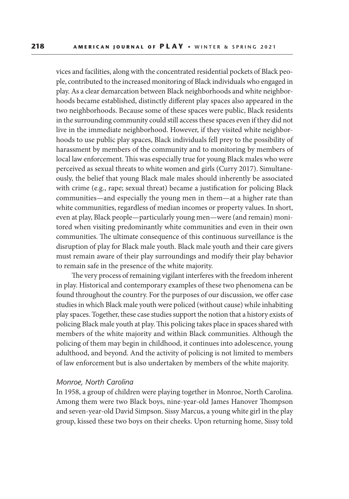vices and facilities, along with the concentrated residential pockets of Black people, contributed to the increased monitoring of Black individuals who engaged in play. As a clear demarcation between Black neighborhoods and white neighborhoods became established, distinctly different play spaces also appeared in the two neighborhoods. Because some of these spaces were public, Black residents in the surrounding community could still access these spaces even if they did not live in the immediate neighborhood. However, if they visited white neighborhoods to use public play spaces, Black individuals fell prey to the possibility of harassment by members of the community and to monitoring by members of local law enforcement. This was especially true for young Black males who were perceived as sexual threats to white women and girls (Curry 2017). Simultaneously, the belief that young Black male males should inherently be associated with crime (e.g., rape; sexual threat) became a justification for policing Black communities—and especially the young men in them—at a higher rate than white communities, regardless of median incomes or property values. In short, even at play, Black people—particularly young men—were (and remain) monitored when visiting predominantly white communities and even in their own communities. The ultimate consequence of this continuous surveillance is the disruption of play for Black male youth. Black male youth and their care givers must remain aware of their play surroundings and modify their play behavior to remain safe in the presence of the white majority.

The very process of remaining vigilant interferes with the freedom inherent in play. Historical and contemporary examples of these two phenomena can be found throughout the country. For the purposes of our discussion, we offer case studies in which Black male youth were policed (without cause) while inhabiting play spaces. Together, these case studies support the notion that a history exists of policing Black male youth at play. This policing takes place in spaces shared with members of the white majority and within Black communities. Although the policing of them may begin in childhood, it continues into adolescence, young adulthood, and beyond. And the activity of policing is not limited to members of law enforcement but is also undertaken by members of the white majority.

#### *Monroe, North Carolina*

In 1958, a group of children were playing together in Monroe, North Carolina. Among them were two Black boys, nine-year-old James Hanover Thompson and seven-year-old David Simpson. Sissy Marcus, a young white girl in the play group, kissed these two boys on their cheeks. Upon returning home, Sissy told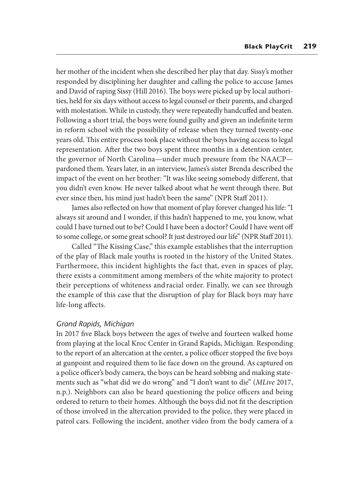her mother of the incident when she described her play that day. Sissy's mother responded by disciplining her daughter and calling the police to accuse James and David of raping Sissy (Hill 2016). The boys were picked up by local authorities, held for six days without access to legal counsel or their parents, and charged with molestation. While in custody, they were repeatedly handcuffed and beaten. Following a short trial, the boys were found guilty and given an indefinite term in reform school with the possibility of release when they turned twenty-one years old. This entire process took place without the boys having access to legal representation. After the two boys spent three months in a detention center, the governor of North Carolina—under much pressure from the NAACP pardoned them. Years later, in an interview, James's sister Brenda described the impact of the event on her brother: "It was like seeing somebody different, that you didn't even know. He never talked about what he went through there. But ever since then, his mind just hadn't been the same" (NPR Staff 2011).

James also reflected on how that moment of play forever changed his life: "I always sit around and I wonder, if this hadn't happened to me, you know, what could I have turned out to be? Could I have been a doctor? Could I have went off to some college, or some great school? It just destroyed our life" (NPR Staff 2011).

Called "The Kissing Case," this example establishes that the interruption of the play of Black male youths is rooted in the history of the United States. Furthermore, this incident highlights the fact that, even in spaces of play, there exists a commitment among members of the white majority to protect their perceptions of whiteness and racial order. Finally, we can see through the example of this case that the disruption of play for Black boys may have life-long affects.

#### *Grand Rapids, Michigan*

In 2017 five Black boys between the ages of twelve and fourteen walked home from playing at the local Kroc Center in Grand Rapids, Michigan. Responding to the report of an altercation at the center, a police officer stopped the five boys at gunpoint and required them to lie face down on the ground. As captured on a police officer's body camera, the boys can be heard sobbing and making statements such as "what did we do wrong" and "I don't want to die" (*MLive* 2017, n.p.). Neighbors can also be heard questioning the police officers and being ordered to return to their homes. Although the boys did not fit the description of those involved in the altercation provided to the police, they were placed in patrol cars. Following the incident, another video from the body camera of a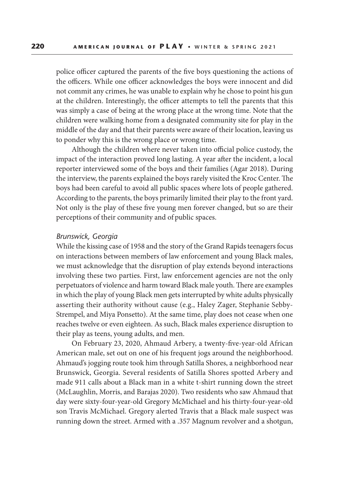police officer captured the parents of the five boys questioning the actions of the officers. While one officer acknowledges the boys were innocent and did not commit any crimes, he was unable to explain why he chose to point his gun at the children. Interestingly, the officer attempts to tell the parents that this was simply a case of being at the wrong place at the wrong time. Note that the children were walking home from a designated community site for play in the middle of the day and that their parents were aware of their location, leaving us to ponder why this is the wrong place or wrong time.

Although the children where never taken into official police custody, the impact of the interaction proved long lasting. A year after the incident, a local reporter interviewed some of the boys and their families (Agar 2018). During the interview, the parents explained the boys rarely visited the Kroc Center. The boys had been careful to avoid all public spaces where lots of people gathered. According to the parents, the boys primarily limited their play to the front yard. Not only is the play of these five young men forever changed, but so are their perceptions of their community and of public spaces.

#### *Brunswick, Georgia*

While the kissing case of 1958 and the story of the Grand Rapids teenagers focus on interactions between members of law enforcement and young Black males, we must acknowledge that the disruption of play extends beyond interactions involving these two parties. First, law enforcement agencies are not the only perpetuators of violence and harm toward Black male youth. There are examples in which the play of young Black men gets interrupted by white adults physically asserting their authority without cause (e.g., Haley Zager, Stephanie Sebby-Strempel, and Miya Ponsetto). At the same time, play does not cease when one reaches twelve or even eighteen. As such, Black males experience disruption to their play as teens, young adults, and men.

On February 23, 2020, Ahmaud Arbery, a twenty-five-year-old African American male, set out on one of his frequent jogs around the neighborhood. Ahmaud's jogging route took him through Satilla Shores, a neighborhood near Brunswick, Georgia. Several residents of Satilla Shores spotted Arbery and made 911 calls about a Black man in a white t-shirt running down the street (McLaughlin, Morris, and Barajas 2020). Two residents who saw Ahmaud that day were sixty-four-year-old Gregory McMichael and his thirty-four-year-old son Travis McMichael. Gregory alerted Travis that a Black male suspect was running down the street. Armed with a .357 Magnum revolver and a shotgun,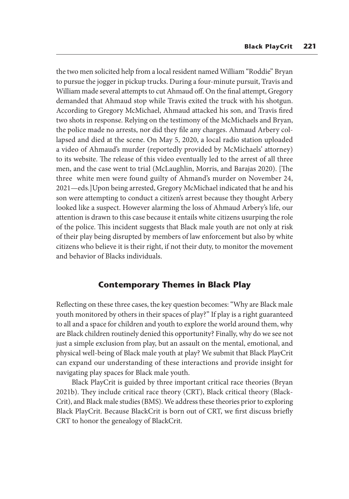the two men solicited help from a local resident named William "Roddie" Bryan to pursue the jogger in pickup trucks. During a four-minute pursuit, Travis and William made several attempts to cut Ahmaud off. On the final attempt, Gregory demanded that Ahmaud stop while Travis exited the truck with his shotgun. According to Gregory McMichael, Ahmaud attacked his son, and Travis fired two shots in response. Relying on the testimony of the McMichaels and Bryan, the police made no arrests, nor did they file any charges. Ahmaud Arbery collapsed and died at the scene. On May 5, 2020, a local radio station uploaded a video of Ahmaud's murder (reportedly provided by McMichaels' attorney) to its website. The release of this video eventually led to the arrest of all three men, and the case went to trial (McLaughlin, Morris, and Barajas 2020). [The three white men were found guilty of Ahmand's murder on November 24, 2021—eds.]Upon being arrested, Gregory McMichael indicated that he and his son were attempting to conduct a citizen's arrest because they thought Arbery looked like a suspect. However alarming the loss of Ahmaud Arbery's life, our attention is drawn to this case because it entails white citizens usurping the role of the police. This incident suggests that Black male youth are not only at risk of their play being disrupted by members of law enforcement but also by white citizens who believe it is their right, if not their duty, to monitor the movement and behavior of Blacks individuals.

## **Contemporary Themes in Black Play**

Reflecting on these three cases, the key question becomes: "Why are Black male youth monitored by others in their spaces of play?" If play is a right guaranteed to all and a space for children and youth to explore the world around them, why are Black children routinely denied this opportunity? Finally, why do we see not just a simple exclusion from play, but an assault on the mental, emotional, and physical well-being of Black male youth at play? We submit that Black PlayCrit can expand our understanding of these interactions and provide insight for navigating play spaces for Black male youth.

Black PlayCrit is guided by three important critical race theories (Bryan 2021b). They include critical race theory (CRT), Black critical theory (Black-Crit), and Black male studies (BMS). We address these theories prior to exploring Black PlayCrit. Because BlackCrit is born out of CRT, we first discuss briefly CRT to honor the genealogy of BlackCrit.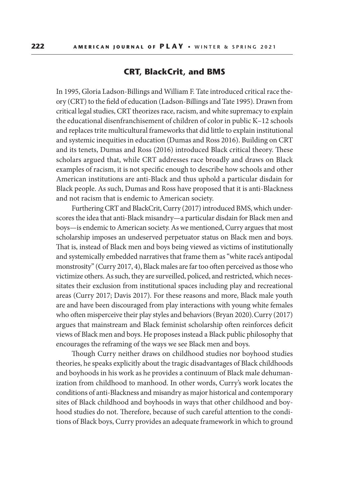## **CRT, BlackCrit, and BMS**

In 1995, Gloria Ladson-Billings and William F. Tate introduced critical race theory (CRT) to the field of education (Ladson-Billings and Tate 1995). Drawn from critical legal studies, CRT theorizes race, racism, and white supremacy to explain the educational disenfranchisement of children of color in public K–12 schools and replaces trite multicultural frameworks that did little to explain institutional and systemic inequities in education (Dumas and Ross 2016). Building on CRT and its tenets, Dumas and Ross (2016) introduced Black critical theory. These scholars argued that, while CRT addresses race broadly and draws on Black examples of racism, it is not specific enough to describe how schools and other American institutions are anti-Black and thus uphold a particular disdain for Black people. As such, Dumas and Ross have proposed that it is anti-Blackness and not racism that is endemic to American society.

Furthering CRT and BlackCrit, Curry (2017) introduced BMS, which underscores the idea that anti-Black misandry—a particular disdain for Black men and boys—is endemic to American society. As we mentioned, Curry argues that most scholarship imposes an undeserved perpetuator status on Black men and boys. That is, instead of Black men and boys being viewed as victims of institutionally and systemically embedded narratives that frame them as "white race's antipodal monstrosity" (Curry 2017, 4), Black males are far too often perceived as those who victimize others. As such, they are surveilled, policed, and restricted, which necessitates their exclusion from institutional spaces including play and recreational areas (Curry 2017; Davis 2017). For these reasons and more, Black male youth are and have been discouraged from play interactions with young white females who often misperceive their play styles and behaviors (Bryan 2020). Curry (2017) argues that mainstream and Black feminist scholarship often reinforces deficit views of Black men and boys. He proposes instead a Black public philosophy that encourages the reframing of the ways we see Black men and boys.

Though Curry neither draws on childhood studies nor boyhood studies theories, he speaks explicitly about the tragic disadvantages of Black childhoods and boyhoods in his work as he provides a continuum of Black male dehumanization from childhood to manhood. In other words, Curry's work locates the conditions of anti-Blackness and misandry as major historical and contemporary sites of Black childhood and boyhoods in ways that other childhood and boyhood studies do not. Therefore, because of such careful attention to the conditions of Black boys, Curry provides an adequate framework in which to ground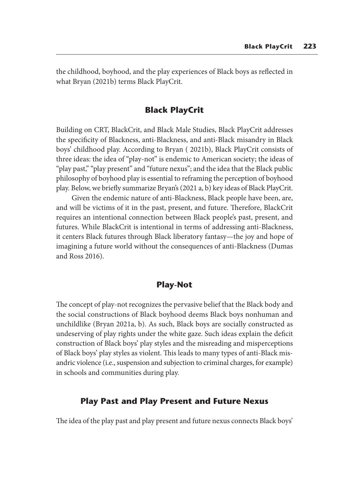the childhood, boyhood, and the play experiences of Black boys as reflected in what Bryan (2021b) terms Black PlayCrit.

## **Black PlayCrit**

Building on CRT, BlackCrit, and Black Male Studies, Black PlayCrit addresses the specificity of Blackness, anti-Blackness, and anti-Black misandry in Black boys' childhood play. According to Bryan ( 2021b), Black PlayCrit consists of three ideas: the idea of "play-not" is endemic to American society; the ideas of "play past," "play present" and "future nexus"; and the idea that the Black public philosophy of boyhood play is essential to reframing the perception of boyhood play. Below, we briefly summarize Bryan's (2021 a, b) key ideas of Black PlayCrit.

Given the endemic nature of anti-Blackness, Black people have been, are, and will be victims of it in the past, present, and future. Therefore, BlackCrit requires an intentional connection between Black people's past, present, and futures. While BlackCrit is intentional in terms of addressing anti-Blackness, it centers Black futures through Black liberatory fantasy—the joy and hope of imagining a future world without the consequences of anti-Blackness (Dumas and Ross 2016).

## **Play-Not**

The concept of play-not recognizes the pervasive belief that the Black body and the social constructions of Black boyhood deems Black boys nonhuman and unchildlike (Bryan 2021a, b). As such, Black boys are socially constructed as undeserving of play rights under the white gaze. Such ideas explain the deficit construction of Black boys' play styles and the misreading and misperceptions of Black boys' play styles as violent. This leads to many types of anti-Black misandric violence (i.e., suspension and subjection to criminal charges, for example) in schools and communities during play.

## **Play Past and Play Present and Future Nexus**

The idea of the play past and play present and future nexus connects Black boys'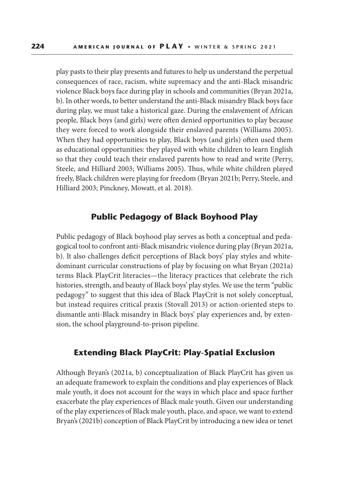play pasts to their play presents and futures to help us understand the perpetual consequences of race, racism, white supremacy and the anti-Black misandric violence Black boys face during play in schools and communities (Bryan 2021a, b). In other words, to better understand the anti-Black misandry Black boys face during play, we must take a historical gaze. During the enslavement of African people, Black boys (and girls) were often denied opportunities to play because they were forced to work alongside their enslaved parents (Williams 2005). When they had opportunities to play, Black boys (and girls) often used them as educational opportunities: they played with white children to learn English so that they could teach their enslaved parents how to read and write (Perry, Steele, and Hilliard 2003; Williams 2005). Thus, while white children played freely, Black children were playing for freedom (Bryan 2021b; Perry, Steele, and Hilliard 2003; Pinckney, Mowatt, et al. 2018).

## **Public Pedagogy of Black Boyhood Play**

Public pedagogy of Black boyhood play serves as both a conceptual and pedagogical tool to confront anti-Black misandric violence during play (Bryan 2021a, b). It also challenges deficit perceptions of Black boys' play styles and whitedominant curricular constructions of play by focusing on what Bryan (2021a) terms Black PlayCrit literacies—the literacy practices that celebrate the rich histories, strength, and beauty of Black boys' play styles. We use the term "public pedagogy" to suggest that this idea of Black PlayCrit is not solely conceptual, but instead requires critical praxis (Stovall 2013) or action-oriented steps to dismantle anti-Black misandry in Black boys' play experiences and, by extension, the school playground-to-prison pipeline.

## **Extending Black PlayCrit: Play-Spatial Exclusion**

Although Bryan's (2021a, b) conceptualization of Black PlayCrit has given us an adequate framework to explain the conditions and play experiences of Black male youth, it does not account for the ways in which place and space further exacerbate the play experiences of Black male youth. Given our understanding of the play experiences of Black male youth, place, and space, we want to extend Bryan's (2021b) conception of Black PlayCrit by introducing a new idea or tenet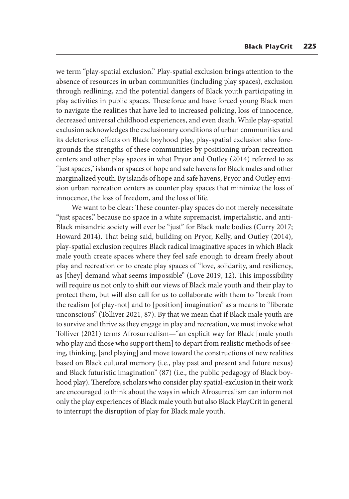we term "play-spatial exclusion." Play-spatial exclusion brings attention to the absence of resources in urban communities (including play spaces), exclusion through redlining, and the potential dangers of Black youth participating in play activities in public spaces. These force and have forced young Black men to navigate the realities that have led to increased policing, loss of innocence, decreased universal childhood experiences, and even death. While play-spatial exclusion acknowledges the exclusionary conditions of urban communities and its deleterious effects on Black boyhood play, play-spatial exclusion also foregrounds the strengths of these communities by positioning urban recreation centers and other play spaces in what Pryor and Outley (2014) referred to as "just spaces," islands or spaces of hope and safe havens for Black males and other marginalized youth. By islands of hope and safe havens, Pryor and Outley envision urban recreation centers as counter play spaces that minimize the loss of innocence, the loss of freedom, and the loss of life.

We want to be clear: These counter-play spaces do not merely necessitate "just spaces," because no space in a white supremacist, imperialistic, and anti-Black misandric society will ever be "just" for Black male bodies (Curry 2017; Howard 2014). That being said, building on Pryor, Kelly, and Outley (2014), play-spatial exclusion requires Black radical imaginative spaces in which Black male youth create spaces where they feel safe enough to dream freely about play and recreation or to create play spaces of "love, solidarity, and resiliency, as [they] demand what seems impossible" (Love 2019, 12). This impossibility will require us not only to shift our views of Black male youth and their play to protect them, but will also call for us to collaborate with them to "break from the realism [of play-not] and to [position] imagination" as a means to "liberate unconscious" (Tolliver 2021, 87). By that we mean that if Black male youth are to survive and thrive as they engage in play and recreation, we must invoke what Tolliver (2021) terms Afrosurrealism—"an explicit way for Black [male youth who play and those who support them] to depart from realistic methods of seeing, thinking, [and playing] and move toward the constructions of new realities based on Black cultural memory (i.e., play past and present and future nexus) and Black futuristic imagination" (87) (i.e., the public pedagogy of Black boyhood play). Therefore, scholars who consider play spatial-exclusion in their work are encouraged to think about the ways in which Afrosurrealism can inform not only the play experiences of Black male youth but also Black PlayCrit in general to interrupt the disruption of play for Black male youth.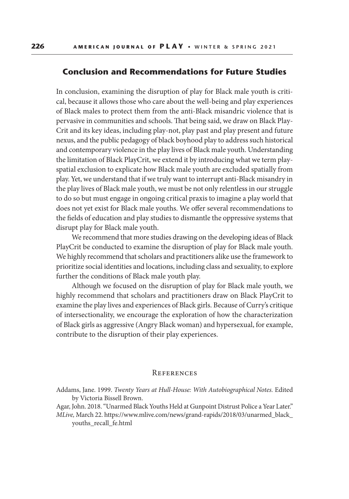#### **Conclusion and Recommendations for Future Studies**

In conclusion, examining the disruption of play for Black male youth is critical, because it allows those who care about the well-being and play experiences of Black males to protect them from the anti-Black misandric violence that is pervasive in communities and schools. That being said, we draw on Black Play-Crit and its key ideas, including play-not, play past and play present and future nexus, and the public pedagogy of black boyhood play to address such historical and contemporary violence in the play lives of Black male youth. Understanding the limitation of Black PlayCrit, we extend it by introducing what we term playspatial exclusion to explicate how Black male youth are excluded spatially from play. Yet, we understand that if we truly want to interrupt anti-Black misandry in the play lives of Black male youth, we must be not only relentless in our struggle to do so but must engage in ongoing critical praxis to imagine a play world that does not yet exist for Black male youths. We offer several recommendations to the fields of education and play studies to dismantle the oppressive systems that disrupt play for Black male youth.

We recommend that more studies drawing on the developing ideas of Black PlayCrit be conducted to examine the disruption of play for Black male youth. We highly recommend that scholars and practitioners alike use the framework to prioritize social identities and locations, including class and sexuality, to explore further the conditions of Black male youth play.

Although we focused on the disruption of play for Black male youth, we highly recommend that scholars and practitioners draw on Black PlayCrit to examine the play lives and experiences of Black girls. Because of Curry's critique of intersectionality, we encourage the exploration of how the characterization of Black girls as aggressive (Angry Black woman) and hypersexual, for example, contribute to the disruption of their play experiences.

#### **REFERENCES**

Addams, Jane. 1999. *Twenty Years at Hull-House: With Autobiographical Notes.* Edited by Victoria Bissell Brown.

Agar, John. 2018. "Unarmed Black Youths Held at Gunpoint Distrust Police a Year Later." *MLive,* March 22. https://www.mlive.com/news/grand-rapids/2018/03/unarmed\_black\_ youths\_recall\_fe.html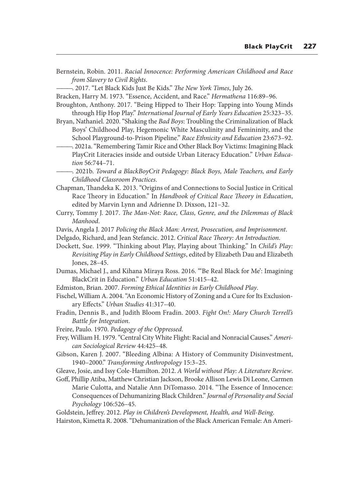Bernstein, Robin. 2011. *Racial Innocence: Performing American Childhood and Race from Slavery to Civil Rights*.

———. 2017. "Let Black Kids Just Be Kids." *The New York Times*, July 26.

Bracken, Harry M. 1973. "Essence, Accident, and Race." *Hermathena* 116:89–96.

- Broughton, Anthony. 2017. "Being Hipped to Their Hop: Tapping into Young Minds through Hip Hop Play." *International Journal of Early Years Education* 25:323–35.
- Bryan, Nathaniel. 2020. "Shaking the *Bad Boys*: Troubling the Criminalization of Black Boys' Childhood Play, Hegemonic White Masculinity and Femininity, and the School Playground-to-Prison Pipeline." *Race Ethnicity and Education* 23:673–92.
- ———. 2021a. "Remembering Tamir Rice and Other Black Boy Victims: Imagining Black PlayCrit Literacies inside and outside Urban Literacy Education." *Urban Education* 56:744–71.
- ———. 2021b. *Toward a BlackBoyCrit Pedagogy: Black Boys, Male Teachers, and Early Childhood Classroom Practices*.
- Chapman, Thandeka K. 2013. "Origins of and Connections to Social Justice in Critical Race Theory in Education." In *Handbook of Critical Race Theory in Education*, edited by Marvin Lynn and Adrienne D. Dixson, 121–32.
- Curry, Tommy J. 2017. *The Man-Not: Race, Class, Genre, and the Dilemmas of Black Manhood*.
- Davis, Angela J. 2017 *Policing the Black Man: Arrest, Prosecution, and Imprisonment*.
- Delgado, Richard, and Jean Stefancic. 2012. *Critical Race Theory: An Introduction*.
- Dockett, Sue. 1999. "Thinking about Play, Playing about Thinking." In *Child's Play: Revisiting Play in Early Childhood Settings*, edited by Elizabeth Dau and Elizabeth Jones, 28–45.
- Dumas, Michael J., and Kihana Miraya Ross. 2016. "'Be Real Black for Me': Imagining BlackCrit in Education." *Urban Education* 51:415–42.
- Edmiston, Brian. 2007. *Forming Ethical Identities in Early Childhood Play*.
- Fischel, William A. 2004. "An Economic History of Zoning and a Cure for Its Exclusionary Effects." *Urban Studies* 41:317–40.
- Fradin, Dennis B., and Judith Bloom Fradin. 2003. *Fight On!: Mary Church Terrell's Battle for Integration*.
- Freire, Paulo. 1970. *Pedagogy of the Oppressed*.
- Frey, William H. 1979. "Central City White Flight: Racial and Nonracial Causes." *American Sociological Review* 44:425–48.
- Gibson, Karen J. 2007. "Bleeding Albina: A History of Community Disinvestment, 1940–2000." *Transforming Anthropology* 15:3–25.
- Gleave, Josie, and Issy Cole-Hamilton. 2012. *A World without Play: A Literature Review*.
- Goff, Phillip Atiba, Matthew Christian Jackson, Brooke Allison Lewis Di Leone, Carmen Marie Culotta, and Natalie Ann DiTomasso. 2014. "The Essence of Innocence: Consequences of Dehumanizing Black Children." *Journal of Personality and Social Psychology* 106:526–45.
- Goldstein, Jeffrey. 2012. *Play in Children's Development, Health, and Well-Being*.

Hairston, Kimetta R. 2008. "Dehumanization of the Black American Female: An Ameri-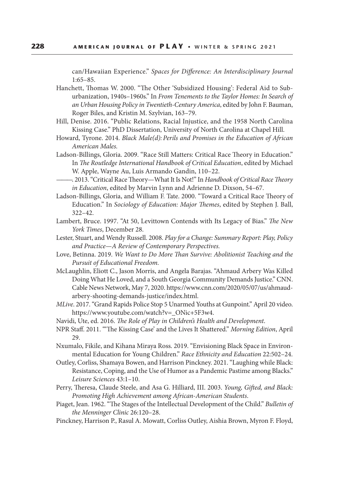can/Hawaiian Experience." *Spaces for Difference: An Interdisciplinary Journal* 1:65–85.

- Hanchett, Thomas W. 2000. "The Other 'Subsidized Housing': Federal Aid to Suburbanization, 1940s–1960s." In *From Tenements to the Taylor Homes: In Search of an Urban Housing Policy in Twentieth-Century America*, edited by John F. Bauman, Roger Biles, and Kristin M. Szylvian, 163–79.
- Hill, Denise. 2016. "Public Relations, Racial Injustice, and the 1958 North Carolina Kissing Case." PhD Dissertation, University of North Carolina at Chapel Hill.
- Howard, Tyrone. 2014. *Black Male(d): Perils and Promises in the Education of African American Males.*
- Ladson-Billings, Gloria. 2009. "Race Still Matters: Critical Race Theory in Education." In *The Routledge International Handbook of Critical Education*, edited by Michael W. Apple, Wayne Au, Luis Armando Gandin, 110–22.
- ———. 2013. "Critical Race Theory—What It Is Not!" In *Handbook of Critical Race Theory in Education*, edited by Marvin Lynn and Adrienne D. Dixson, 54–67.
- Ladson-Billings, Gloria, and William F. Tate. 2000. "Toward a Critical Race Theory of Education." In *Sociology of Education: Major Themes*, edited by Stephen J. Ball, 322–42.
- Lambert, Bruce. 1997. "At 50, Levittown Contends with Its Legacy of Bias." *The New York Times*, December 28.
- Lester, Stuart, and Wendy Russell. 2008. *Play for a Change: Summary Report: Play, Policy and Practice—A Review of Contemporary Perspectives.*
- Love, Betinna. 2019. *We Want to Do More Than Survive: Abolitionist Teaching and the Pursuit of Educational Freedom.*
- McLaughlin, Eliott C., Jason Morris, and Angela Barajas. "Ahmaud Arbery Was Killed Doing What He Loved, and a South Georgia Community Demands Justice." CNN. Cable News Network, May 7, 2020. https://www.cnn.com/2020/05/07/us/ahmaudarbery-shooting-demands-justice/index.html.
- *MLive*. 2017. "Grand Rapids Police Stop 5 Unarmed Youths at Gunpoint." April 20 video. https://www.youtube.com/watch?v=\_ONic+5F3w4.
- Navidi, Ute, ed. 2016. *The Role of Play in Children's Health and Development*.
- NPR Staff. 2011. "'The Kissing Case' and the Lives It Shattered." *Morning Edition*, April 29.
- Nxumalo, Fikile, and Kihana Miraya Ross. 2019. "Envisioning Black Space in Environmental Education for Young Children." *Race Ethnicity and Education* 22:502–24.
- Outley, Corliss, Shamaya Bowen, and Harrison Pinckney. 2021. "Laughing while Black: Resistance, Coping, and the Use of Humor as a Pandemic Pastime among Blacks." *Leisure Sciences* 43:1–10.
- Perry, Theresa, Claude Steele, and Asa G. Hilliard, III. 2003. *Young, Gifted, and Black: Promoting High Achievement among African-American Students*.
- Piaget, Jean. 1962. "The Stages of the Intellectual Development of the Child." *Bulletin of the Menninger Clinic* 26:120–28.
- Pinckney, Harrison P., Rasul A. Mowatt, Corliss Outley, Aishia Brown, Myron F. Floyd,